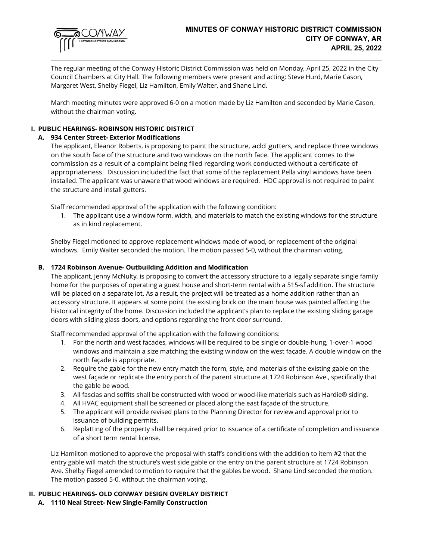

The regular meeting of the Conway Historic District Commission was held on Monday, April 25, 2022 in the City Council Chambers at City Hall. The following members were present and acting: Steve Hurd, Marie Cason, Margaret West, Shelby Fiegel, Liz Hamilton, Emily Walter, and Shane Lind.

March meeting minutes were approved 6-0 on a motion made by Liz Hamilton and seconded by Marie Cason, without the chairman voting.

# **I. PUBLIC HEARINGS- ROBINSON HISTORIC DISTRICT**

# **A. 934 Center Street- Exterior Modifications**

The applicant, Eleanor Roberts, is proposing to paint the structure, add gutters, and replace three windows on the south face of the structure and two windows on the north face. The applicant comes to the commission as a result of a complaint being filed regarding work conducted without a certificate of appropriateness. Discussion included the fact that some of the replacement Pella vinyl windows have been installed. The applicant was unaware that wood windows are required. HDC approval is not required to paint the structure and install gutters.

Staff recommended approval of the application with the following condition:

1. The applicant use a window form, width, and materials to match the existing windows for the structure as in kind replacement.

Shelby Fiegel motioned to approve replacement windows made of wood, or replacement of the original windows. Emily Walter seconded the motion. The motion passed 5-0, without the chairman voting.

#### **B. 1724 Robinson Avenue- Outbuilding Addition and Modification**

The applicant, Jenny McNulty, is proposing to convert the accessory structure to a legally separate single family home for the purposes of operating a guest house and short-term rental with a 515-sf addition. The structure will be placed on a separate lot. As a result, the project will be treated as a home addition rather than an accessory structure. It appears at some point the existing brick on the main house was painted affecting the historical integrity of the home. Discussion included the applicant's plan to replace the existing sliding garage doors with sliding glass doors, and options regarding the front door surround.

Staff recommended approval of the application with the following conditions:

- 1. For the north and west facades, windows will be required to be single or double-hung, 1-over-1 wood windows and maintain a size matching the existing window on the west façade. A double window on the north façade is appropriate.
- 2. Require the gable for the new entry match the form, style, and materials of the existing gable on the west façade or replicate the entry porch of the parent structure at 1724 Robinson Ave., specifically that the gable be wood.
- 3. All fascias and soffits shall be constructed with wood or wood-like materials such as Hardie® siding.
- 4. All HVAC equipment shall be screened or placed along the east façade of the structure.
- 5. The applicant will provide revised plans to the Planning Director for review and approval prior to issuance of building permits.
- 6. Replatting of the property shall be required prior to issuance of a certificate of completion and issuance of a short term rental license.

Liz Hamilton motioned to approve the proposal with staff's conditions with the addition to item #2 that the entry gable will match the structure's west side gable or the entry on the parent structure at 1724 Robinson Ave. Shelby Fiegel amended to motion to require that the gables be wood. Shane Lind seconded the motion. The motion passed 5-0, without the chairman voting.

# **II. PUBLIC HEARINGS- OLD CONWAY DESIGN OVERLAY DISTRICT**

**A. 1110 Neal Street- New Single-Family Construction**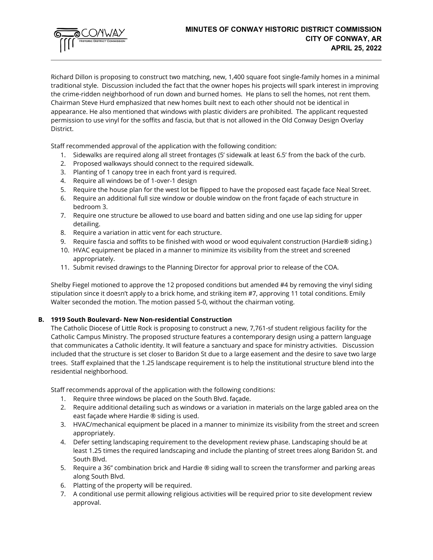

Richard Dillon is proposing to construct two matching, new, 1,400 square foot single-family homes in a minimal traditional style. Discussion included the fact that the owner hopes his projects will spark interest in improving the crime-ridden neighborhood of run down and burned homes. He plans to sell the homes, not rent them. Chairman Steve Hurd emphasized that new homes built next to each other should not be identical in appearance. He also mentioned that windows with plastic dividers are prohibited. The applicant requested permission to use vinyl for the soffits and fascia, but that is not allowed in the Old Conway Design Overlay District.

Staff recommended approval of the application with the following condition:

- 1. Sidewalks are required along all street frontages (5' sidewalk at least 6.5' from the back of the curb.
- 2. Proposed walkways should connect to the required sidewalk.
- 3. Planting of 1 canopy tree in each front yard is required.
- 4. Require all windows be of 1-over-1 design
- 5. Require the house plan for the west lot be flipped to have the proposed east façade face Neal Street.
- 6. Require an additional full size window or double window on the front façade of each structure in bedroom 3.
- 7. Require one structure be allowed to use board and batten siding and one use lap siding for upper detailing.
- 8. Require a variation in attic vent for each structure.
- 9. Require fascia and soffits to be finished with wood or wood equivalent construction (Hardie® siding.)
- 10. HVAC equipment be placed in a manner to minimize its visibility from the street and screened appropriately.
- 11. Submit revised drawings to the Planning Director for approval prior to release of the COA.

Shelby Fiegel motioned to approve the 12 proposed conditions but amended #4 by removing the vinyl siding stipulation since it doesn't apply to a brick home, and striking item #7, approving 11 total conditions. Emily Walter seconded the motion. The motion passed 5-0, without the chairman voting.

#### **B. 1919 South Boulevard- New Non-residential Construction**

The Catholic Diocese of Little Rock is proposing to construct a new, 7,761-sf student religious facility for the Catholic Campus Ministry. The proposed structure features a contemporary design using a pattern language that communicates a Catholic identity. It will feature a sanctuary and space for ministry activities. Discussion included that the structure is set closer to Baridon St due to a large easement and the desire to save two large trees. Staff explained that the 1.25 landscape requirement is to help the institutional structure blend into the residential neighborhood.

Staff recommends approval of the application with the following conditions:

- 1. Require three windows be placed on the South Blvd. façade.
- 2. Require additional detailing such as windows or a variation in materials on the large gabled area on the east façade where Hardie ® siding is used.
- 3. HVAC/mechanical equipment be placed in a manner to minimize its visibility from the street and screen appropriately.
- 4. Defer setting landscaping requirement to the development review phase. Landscaping should be at least 1.25 times the required landscaping and include the planting of street trees along Baridon St. and South Blvd.
- 5. Require a 36" combination brick and Hardie ® siding wall to screen the transformer and parking areas along South Blvd.
- 6. Platting of the property will be required.
- 7. A conditional use permit allowing religious activities will be required prior to site development review approval.